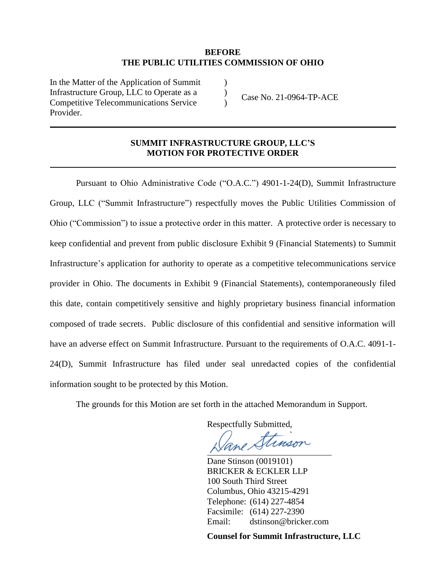### **BEFORE THE PUBLIC UTILITIES COMMISSION OF OHIO**

) ) )

In the Matter of the Application of Summit Infrastructure Group, LLC to Operate as a Competitive Telecommunications Service Provider.

Case No. 21-0964-TP-ACE

### **SUMMIT INFRASTRUCTURE GROUP, LLC'S MOTION FOR PROTECTIVE ORDER**

Pursuant to Ohio Administrative Code ("O.A.C.") 4901-1-24(D), Summit Infrastructure Group, LLC ("Summit Infrastructure") respectfully moves the Public Utilities Commission of Ohio ("Commission") to issue a protective order in this matter. A protective order is necessary to keep confidential and prevent from public disclosure Exhibit 9 (Financial Statements) to Summit Infrastructure's application for authority to operate as a competitive telecommunications service provider in Ohio. The documents in Exhibit 9 (Financial Statements), contemporaneously filed this date, contain competitively sensitive and highly proprietary business financial information composed of trade secrets. Public disclosure of this confidential and sensitive information will have an adverse effect on Summit Infrastructure. Pursuant to the requirements of O.A.C. 4091-1- 24(D), Summit Infrastructure has filed under seal unredacted copies of the confidential information sought to be protected by this Motion.

The grounds for this Motion are set forth in the attached Memorandum in Support.

Respectfully Submitted,

inson

Dane Stinson (0019101) BRICKER & ECKLER LLP 100 South Third Street Columbus, Ohio 43215-4291 Telephone: (614) 227-4854 Facsimile: (614) 227-2390 Email: dstinson@bricker.com

**Counsel for Summit Infrastructure, LLC**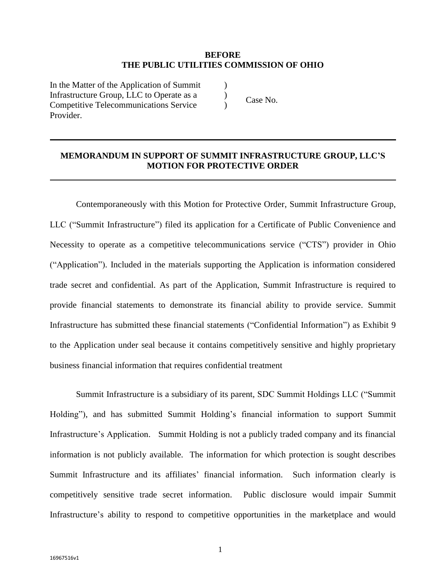### **BEFORE THE PUBLIC UTILITIES COMMISSION OF OHIO**

) ) )

In the Matter of the Application of Summit Infrastructure Group, LLC to Operate as a Competitive Telecommunications Service Provider.

Case No.

# **MEMORANDUM IN SUPPORT OF SUMMIT INFRASTRUCTURE GROUP, LLC'S MOTION FOR PROTECTIVE ORDER**

Contemporaneously with this Motion for Protective Order, Summit Infrastructure Group, LLC ("Summit Infrastructure") filed its application for a Certificate of Public Convenience and Necessity to operate as a competitive telecommunications service ("CTS") provider in Ohio ("Application"). Included in the materials supporting the Application is information considered trade secret and confidential. As part of the Application, Summit Infrastructure is required to provide financial statements to demonstrate its financial ability to provide service. Summit Infrastructure has submitted these financial statements ("Confidential Information") as Exhibit 9 to the Application under seal because it contains competitively sensitive and highly proprietary business financial information that requires confidential treatment

Summit Infrastructure is a subsidiary of its parent, SDC Summit Holdings LLC ("Summit Holding"), and has submitted Summit Holding's financial information to support Summit Infrastructure's Application. Summit Holding is not a publicly traded company and its financial information is not publicly available. The information for which protection is sought describes Summit Infrastructure and its affiliates' financial information. Such information clearly is competitively sensitive trade secret information. Public disclosure would impair Summit Infrastructure's ability to respond to competitive opportunities in the marketplace and would

1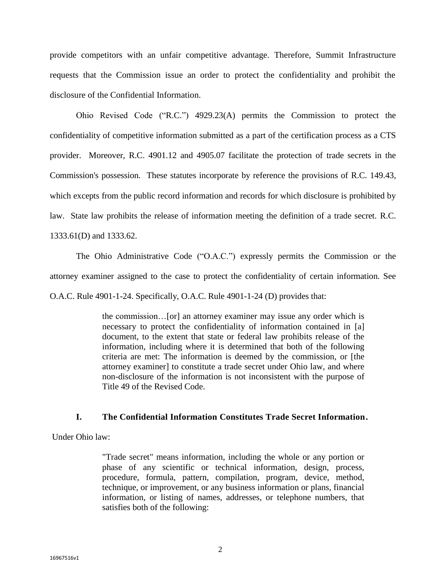provide competitors with an unfair competitive advantage. Therefore, Summit Infrastructure requests that the Commission issue an order to protect the confidentiality and prohibit the disclosure of the Confidential Information.

Ohio Revised Code ("R.C.") 4929.23(A) permits the Commission to protect the confidentiality of competitive information submitted as a part of the certification process as a CTS provider. Moreover, R.C. 4901.12 and 4905.07 facilitate the protection of trade secrets in the Commission's possession. These statutes incorporate by reference the provisions of R.C. 149.43, which excepts from the public record information and records for which disclosure is prohibited by law. State law prohibits the release of information meeting the definition of a trade secret. R.C. 1333.61(D) and 1333.62.

The Ohio Administrative Code ("O.A.C.") expressly permits the Commission or the attorney examiner assigned to the case to protect the confidentiality of certain information. See O.A.C. Rule 4901-1-24. Specifically, O.A.C. Rule 4901-1-24 (D) provides that:

> the commission…[or] an attorney examiner may issue any order which is necessary to protect the confidentiality of information contained in [a] document, to the extent that state or federal law prohibits release of the information, including where it is determined that both of the following criteria are met: The information is deemed by the commission, or [the attorney examiner] to constitute a trade secret under Ohio law, and where non-disclosure of the information is not inconsistent with the purpose of Title 49 of the Revised Code.

### **I. The Confidential Information Constitutes Trade Secret Information.**

Under Ohio law:

"Trade secret" means information, including the whole or any portion or phase of any scientific or technical information, design, process, procedure, formula, pattern, compilation, program, device, method, technique, or improvement, or any business information or plans, financial information, or listing of names, addresses, or telephone numbers, that satisfies both of the following: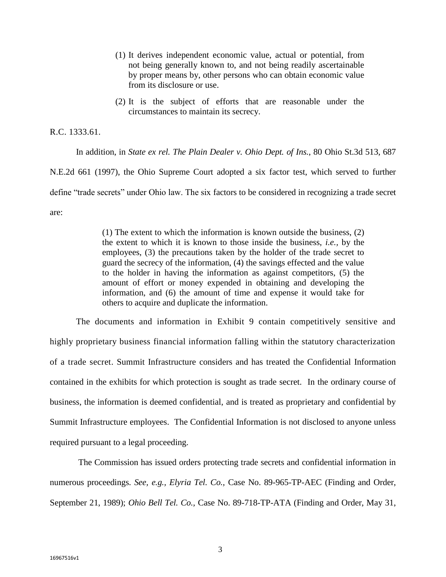- (1) It derives independent economic value, actual or potential, from not being generally known to, and not being readily ascertainable by proper means by, other persons who can obtain economic value from its disclosure or use.
- (2) It is the subject of efforts that are reasonable under the circumstances to maintain its secrecy.

R.C. 1333.61.

In addition, in *State ex rel. The Plain Dealer v. Ohio Dept. of Ins.*, 80 Ohio St.3d 513, 687 N.E.2d 661 (1997), the Ohio Supreme Court adopted a six factor test, which served to further define "trade secrets" under Ohio law. The six factors to be considered in recognizing a trade secret are:

> (1) The extent to which the information is known outside the business, (2) the extent to which it is known to those inside the business, *i.e.,* by the employees, (3) the precautions taken by the holder of the trade secret to guard the secrecy of the information, (4) the savings effected and the value to the holder in having the information as against competitors, (5) the amount of effort or money expended in obtaining and developing the information, and (6) the amount of time and expense it would take for others to acquire and duplicate the information.

The documents and information in Exhibit 9 contain competitively sensitive and highly proprietary business financial information falling within the statutory characterization of a trade secret. Summit Infrastructure considers and has treated the Confidential Information contained in the exhibits for which protection is sought as trade secret. In the ordinary course of business, the information is deemed confidential, and is treated as proprietary and confidential by Summit Infrastructure employees. The Confidential Information is not disclosed to anyone unless required pursuant to a legal proceeding.

The Commission has issued orders protecting trade secrets and confidential information in numerous proceedings. *See, e.g., Elyria Tel. Co.,* Case No. 89-965-TP-AEC (Finding and Order, September 21, 1989); *Ohio Bell Tel. Co.,* Case No. 89-718-TP-ATA (Finding and Order, May 31,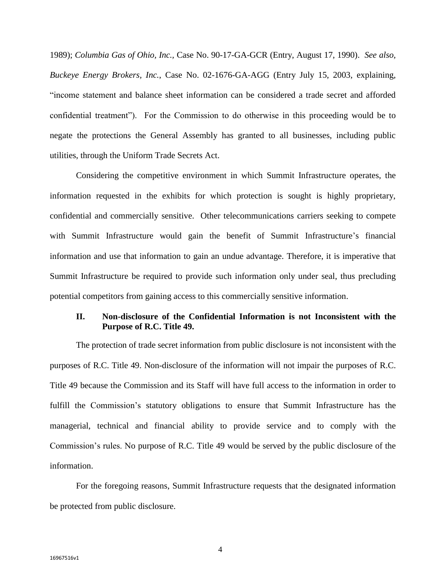1989); *Columbia Gas of Ohio, Inc.,* Case No. 90-17-GA-GCR (Entry, August 17, 1990). *See also, Buckeye Energy Brokers, Inc.*, Case No. 02-1676-GA-AGG (Entry July 15, 2003, explaining, "income statement and balance sheet information can be considered a trade secret and afforded confidential treatment"). For the Commission to do otherwise in this proceeding would be to negate the protections the General Assembly has granted to all businesses, including public utilities, through the Uniform Trade Secrets Act.

Considering the competitive environment in which Summit Infrastructure operates, the information requested in the exhibits for which protection is sought is highly proprietary, confidential and commercially sensitive. Other telecommunications carriers seeking to compete with Summit Infrastructure would gain the benefit of Summit Infrastructure's financial information and use that information to gain an undue advantage. Therefore, it is imperative that Summit Infrastructure be required to provide such information only under seal, thus precluding potential competitors from gaining access to this commercially sensitive information.

## **II. Non-disclosure of the Confidential Information is not Inconsistent with the Purpose of R.C. Title 49.**

The protection of trade secret information from public disclosure is not inconsistent with the purposes of R.C. Title 49. Non-disclosure of the information will not impair the purposes of R.C. Title 49 because the Commission and its Staff will have full access to the information in order to fulfill the Commission's statutory obligations to ensure that Summit Infrastructure has the managerial, technical and financial ability to provide service and to comply with the Commission's rules. No purpose of R.C. Title 49 would be served by the public disclosure of the information.

For the foregoing reasons, Summit Infrastructure requests that the designated information be protected from public disclosure.

4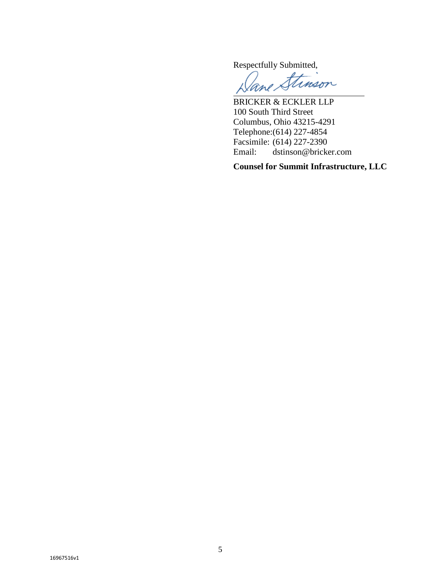Respectfully Submitted,

inson

BRICKER & ECKLER LLP 100 South Third Street Columbus, Ohio 43215-4291 Telephone:(614) 227-4854 Facsimile: (614) 227-2390<br>Email: dstinson@brick dstinson@bricker.com

**Counsel for Summit Infrastructure, LLC**